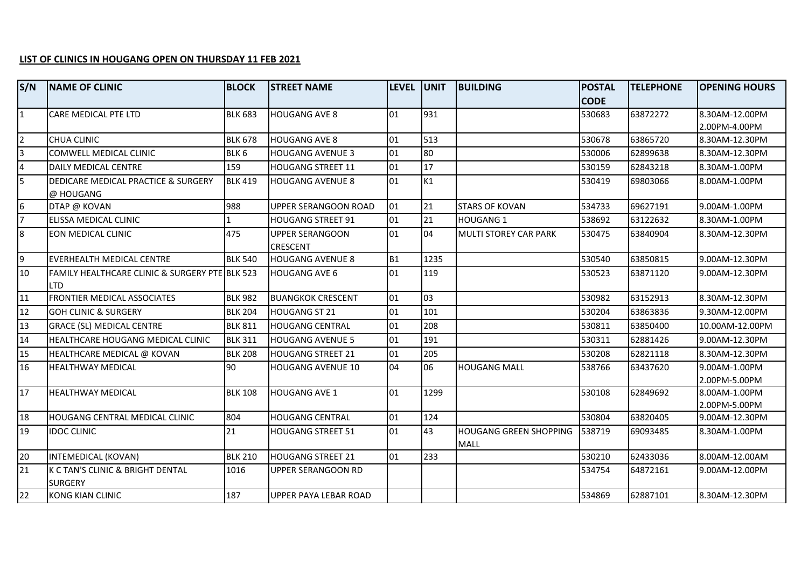## **LIST OF CLINICS IN HOUGANG OPEN ON THURSDAY 11 FEB 2021**

| S/N             | <b>NAME OF CLINIC</b>                              | <b>BLOCK</b>     | <b>STREET NAME</b>                 | <b>LEVEL</b>   | <b>UNIT</b> | <b>BUILDING</b>               | <b>POSTAL</b> | <b>TELEPHONE</b> | <b>OPENING HOURS</b> |
|-----------------|----------------------------------------------------|------------------|------------------------------------|----------------|-------------|-------------------------------|---------------|------------------|----------------------|
|                 |                                                    |                  |                                    |                |             |                               | <b>CODE</b>   |                  |                      |
| $\overline{1}$  | CARE MEDICAL PTE LTD                               | <b>BLK 683</b>   | <b>HOUGANG AVE 8</b>               | 01             | 931         |                               | 530683        | 63872272         | 8.30AM-12.00PM       |
|                 |                                                    |                  |                                    |                |             |                               |               |                  | 2.00PM-4.00PM        |
| $\overline{2}$  | CHUA CLINIC                                        | <b>BLK 678</b>   | <b>HOUGANG AVE 8</b>               | 01             | 513         |                               | 530678        | 63865720         | 8.30AM-12.30PM       |
| $\overline{a}$  | COMWELL MEDICAL CLINIC                             | BLK <sub>6</sub> | <b>HOUGANG AVENUE 3</b>            | 01             | 80          |                               | 530006        | 62899638         | 8.30AM-12.30PM       |
| $\overline{4}$  | DAILY MEDICAL CENTRE                               | 159              | <b>HOUGANG STREET 11</b>           | 01             | 17          |                               | 530159        | 62843218         | 8.30AM-1.00PM        |
| $\overline{5}$  | DEDICARE MEDICAL PRACTICE & SURGERY                | <b>BLK 419</b>   | <b>HOUGANG AVENUE 8</b>            | 01             | K1          |                               | 530419        | 69803066         | 8.00AM-1.00PM        |
|                 | @ HOUGANG                                          |                  |                                    |                |             |                               |               |                  |                      |
| $6\phantom{.}6$ | DTAP @ KOVAN                                       | 988              | UPPER SERANGOON ROAD               | 01             | 21          | <b>STARS OF KOVAN</b>         | 534733        | 69627191         | 9.00AM-1.00PM        |
| 7               | ELISSA MEDICAL CLINIC                              |                  | <b>HOUGANG STREET 91</b>           | 01             | 21          | <b>HOUGANG 1</b>              | 538692        | 63122632         | 8.30AM-1.00PM        |
| 8               | EON MEDICAL CLINIC                                 | 475              | <b>UPPER SERANGOON</b><br>CRESCENT | 01             | 04          | <b>MULTI STOREY CAR PARK</b>  | 530475        | 63840904         | 8.30AM-12.30PM       |
| 9               | EVERHEALTH MEDICAL CENTRE                          | <b>BLK 540</b>   | <b>HOUGANG AVENUE 8</b>            | B <sub>1</sub> | 1235        |                               | 530540        | 63850815         | 9.00AM-12.30PM       |
| 10              | FAMILY HEALTHCARE CLINIC & SURGERY PTE BLK 523     |                  | <b>HOUGANG AVE 6</b>               | 01             | 119         |                               | 530523        | 63871120         | 9.00AM-12.30PM       |
|                 | <b>LTD</b>                                         |                  |                                    |                |             |                               |               |                  |                      |
| $\overline{11}$ | <b>FRONTIER MEDICAL ASSOCIATES</b>                 | <b>BLK 982</b>   | <b>BUANGKOK CRESCENT</b>           | 01             | 03          |                               | 530982        | 63152913         | 8.30AM-12.30PM       |
| $\overline{12}$ | <b>GOH CLINIC &amp; SURGERY</b>                    | <b>BLK 204</b>   | <b>HOUGANG ST 21</b>               | 01             | 101         |                               | 530204        | 63863836         | 9.30AM-12.00PM       |
| 13              | <b>GRACE (SL) MEDICAL CENTRE</b>                   | <b>BLK 811</b>   | <b>HOUGANG CENTRAL</b>             | 01             | 208         |                               | 530811        | 63850400         | 10.00AM-12.00PM      |
| $\overline{14}$ | HEALTHCARE HOUGANG MEDICAL CLINIC                  | <b>BLK 311</b>   | <b>HOUGANG AVENUE 5</b>            | 01             | 191         |                               | 530311        | 62881426         | 9.00AM-12.30PM       |
| $\overline{15}$ | HEALTHCARE MEDICAL @ KOVAN                         | <b>BLK 208</b>   | <b>HOUGANG STREET 21</b>           | 01             | 205         |                               | 530208        | 62821118         | 8.30AM-12.30PM       |
| 16              | <b>HEALTHWAY MEDICAL</b>                           | 90               | <b>HOUGANG AVENUE 10</b>           | 04             | lo6         | <b>HOUGANG MALL</b>           | 538766        | 63437620         | 9.00AM-1.00PM        |
|                 |                                                    |                  |                                    |                |             |                               |               |                  | 2.00PM-5.00PM        |
| 17              | <b>HEALTHWAY MEDICAL</b>                           | <b>BLK 108</b>   | <b>HOUGANG AVE 1</b>               | 01             | 1299        |                               | 530108        | 62849692         | 8.00AM-1.00PM        |
|                 |                                                    |                  |                                    |                |             |                               |               |                  | 2.00PM-5.00PM        |
| 18              | <b>HOUGANG CENTRAL MEDICAL CLINIC</b>              | 804              | <b>HOUGANG CENTRAL</b>             | 01             | 124         |                               | 530804        | 63820405         | 9.00AM-12.30PM       |
| 19              | <b>IDOC CLINIC</b>                                 | 21               | <b>HOUGANG STREET 51</b>           | $ _{01}$       | 43          | <b>HOUGANG GREEN SHOPPING</b> | 538719        | 69093485         | 8.30AM-1.00PM        |
|                 |                                                    |                  |                                    |                |             | <b>MALL</b>                   |               |                  |                      |
| 20              | INTEMEDICAL (KOVAN)                                | <b>BLK 210</b>   | <b>HOUGANG STREET 21</b>           | 01             | 233         |                               | 530210        | 62433036         | 8.00AM-12.00AM       |
| $\overline{21}$ | K C TAN'S CLINIC & BRIGHT DENTAL<br><b>SURGERY</b> | 1016             | UPPER SERANGOON RD                 |                |             |                               | 534754        | 64872161         | 9.00AM-12.00PM       |
| $\overline{22}$ | <b>KONG KIAN CLINIC</b>                            | 187              | UPPER PAYA LEBAR ROAD              |                |             |                               | 534869        | 62887101         | 8.30AM-12.30PM       |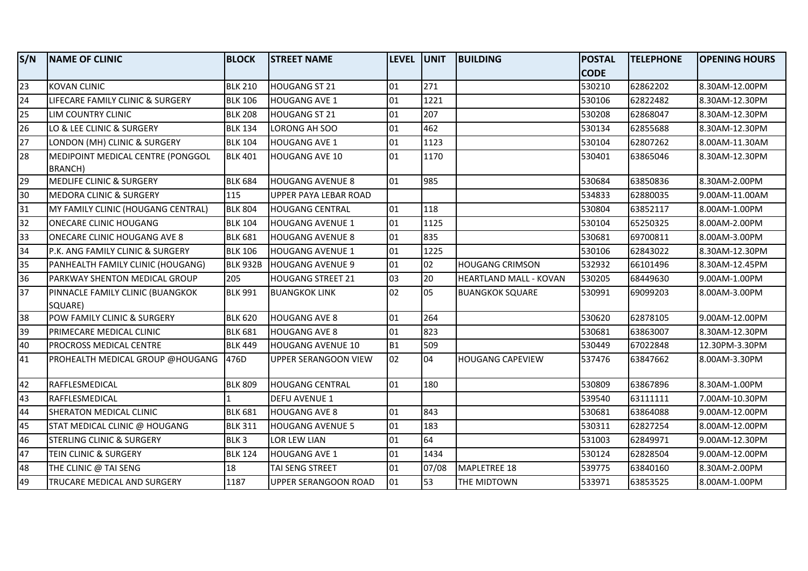| S/N             | <b>NAME OF CLINIC</b>                | <b>BLOCK</b>     | <b>STREET NAME</b>          | <b>LEVEL JUNIT</b> |       | <b>BUILDING</b>         | <b>POSTAL</b> | <b>TELEPHONE</b> | <b>OPENING HOURS</b> |
|-----------------|--------------------------------------|------------------|-----------------------------|--------------------|-------|-------------------------|---------------|------------------|----------------------|
|                 |                                      |                  |                             |                    |       |                         | <b>CODE</b>   |                  |                      |
| 23              | KOVAN CLINIC                         | <b>BLK 210</b>   | HOUGANG ST 21               | 01                 | 271   |                         | 530210        | 62862202         | 8.30AM-12.00PM       |
| 24              | LIFECARE FAMILY CLINIC & SURGERY     | <b>BLK 106</b>   | <b>HOUGANG AVE 1</b>        | 01                 | 1221  |                         | 530106        | 62822482         | 8.30AM-12.30PM       |
| 25              | LIM COUNTRY CLINIC                   | <b>BLK 208</b>   | <b>HOUGANG ST 21</b>        | 01                 | 207   |                         | 530208        | 62868047         | 8.30AM-12.30PM       |
| 26              | LO & LEE CLINIC & SURGERY            | <b>BLK 134</b>   | LORONG AH SOO               | 01                 | 462   |                         | 530134        | 62855688         | 8.30AM-12.30PM       |
| 27              | LONDON (MH) CLINIC & SURGERY         | <b>BLK 104</b>   | HOUGANG AVE 1               | 01                 | 1123  |                         | 530104        | 62807262         | 8.00AM-11.30AM       |
| 28              | MEDIPOINT MEDICAL CENTRE (PONGGOL    | <b>BLK 401</b>   | <b>HOUGANG AVE 10</b>       | 01                 | 1170  |                         | 530401        | 63865046         | 8.30AM-12.30PM       |
|                 | <b>BRANCH)</b>                       |                  |                             |                    |       |                         |               |                  |                      |
| 29              | MEDLIFE CLINIC & SURGERY             | <b>BLK 684</b>   | <b>HOUGANG AVENUE 8</b>     | 01                 | 985   |                         | 530684        | 63850836         | 8.30AM-2.00PM        |
| 30              | <b>MEDORA CLINIC &amp; SURGERY</b>   | 115              | UPPER PAYA LEBAR ROAD       |                    |       |                         | 534833        | 62880035         | 9.00AM-11.00AM       |
| 31              | MY FAMILY CLINIC (HOUGANG CENTRAL)   | <b>BLK 804</b>   | <b>HOUGANG CENTRAL</b>      | 01                 | 118   |                         | 530804        | 63852117         | 8.00AM-1.00PM        |
| 32              | ONECARE CLINIC HOUGANG               | <b>BLK 104</b>   | <b>HOUGANG AVENUE 1</b>     | 01                 | 1125  |                         | 530104        | 65250325         | 8.00AM-2.00PM        |
| 33              | <b>ONECARE CLINIC HOUGANG AVE 8</b>  | <b>BLK 681</b>   | <b>HOUGANG AVENUE 8</b>     | 01                 | 835   |                         | 530681        | 69700811         | 8.00AM-3.00PM        |
| 34              | P.K. ANG FAMILY CLINIC & SURGERY     | <b>BLK 106</b>   | <b>HOUGANG AVENUE 1</b>     | 01                 | 1225  |                         | 530106        | 62843022         | 8.30AM-12.30PM       |
| 35              | PANHEALTH FAMILY CLINIC (HOUGANG)    | <b>BLK 932B</b>  | <b>HOUGANG AVENUE 9</b>     | 01                 | 02    | <b>HOUGANG CRIMSON</b>  | 532932        | 66101496         | 8.30AM-12.45PM       |
| 36              | PARKWAY SHENTON MEDICAL GROUP        | 205              | <b>HOUGANG STREET 21</b>    | 03                 | 20    | HEARTLAND MALL - KOVAN  | 530205        | 68449630         | 9.00AM-1.00PM        |
| 37              | PINNACLE FAMILY CLINIC (BUANGKOK     | <b>BLK 991</b>   | <b>BUANGKOK LINK</b>        | 02                 | 05    | <b>BUANGKOK SQUARE</b>  | 530991        | 69099203         | 8.00AM-3.00PM        |
|                 | SQUARE)                              |                  |                             |                    |       |                         |               |                  |                      |
| 38              | POW FAMILY CLINIC & SURGERY          | <b>BLK 620</b>   | <b>HOUGANG AVE 8</b>        | 01                 | 264   |                         | 530620        | 62878105         | 9.00AM-12.00PM       |
| 39              | PRIMECARE MEDICAL CLINIC             | <b>BLK 681</b>   | <b>HOUGANG AVE 8</b>        | 01                 | 823   |                         | 530681        | 63863007         | 8.30AM-12.30PM       |
| 40              | <b>PROCROSS MEDICAL CENTRE</b>       | <b>BLK 449</b>   | <b>HOUGANG AVENUE 10</b>    | <b>B1</b>          | 509   |                         | 530449        | 67022848         | 12.30PM-3.30PM       |
| 41              | PROHEALTH MEDICAL GROUP @HOUGANG     | 476D             | <b>UPPER SERANGOON VIEW</b> | 02                 | 04    | <b>HOUGANG CAPEVIEW</b> | 537476        | 63847662         | 8.00AM-3.30PM        |
| 42              | RAFFLESMEDICAL                       | <b>BLK 809</b>   | <b>HOUGANG CENTRAL</b>      | 01                 | 180   |                         | 530809        | 63867896         | 8.30AM-1.00PM        |
| 43              | RAFFLESMEDICAL                       |                  | DEFU AVENUE 1               |                    |       |                         | 539540        | 63111111         | 7.00AM-10.30PM       |
| 44              | SHERATON MEDICAL CLINIC              | <b>BLK 681</b>   | <b>HOUGANG AVE 8</b>        | 01                 | 843   |                         | 530681        | 63864088         | 9.00AM-12.00PM       |
| 45              | STAT MEDICAL CLINIC @ HOUGANG        | <b>BLK 311</b>   | <b>HOUGANG AVENUE 5</b>     | 01                 | 183   |                         | 530311        | 62827254         | 8.00AM-12.00PM       |
| 46              | <b>STERLING CLINIC &amp; SURGERY</b> | BLK <sub>3</sub> | LOR LEW LIAN                | 01                 | 64    |                         | 531003        | 62849971         | 9.00AM-12.30PM       |
| $\overline{47}$ | TEIN CLINIC & SURGERY                | <b>BLK 124</b>   | HOUGANG AVE 1               | 01                 | 1434  |                         | 530124        | 62828504         | 9.00AM-12.00PM       |
| 48              | THE CLINIC @ TAI SENG                | 18               | TAI SENG STREET             | 01                 | 07/08 | MAPLETREE 18            | 539775        | 63840160         | 8.30AM-2.00PM        |
| 49              | <b>TRUCARE MEDICAL AND SURGERY</b>   | 1187             | UPPER SERANGOON ROAD        | 01                 | 53    | THE MIDTOWN             | 533971        | 63853525         | 8.00AM-1.00PM        |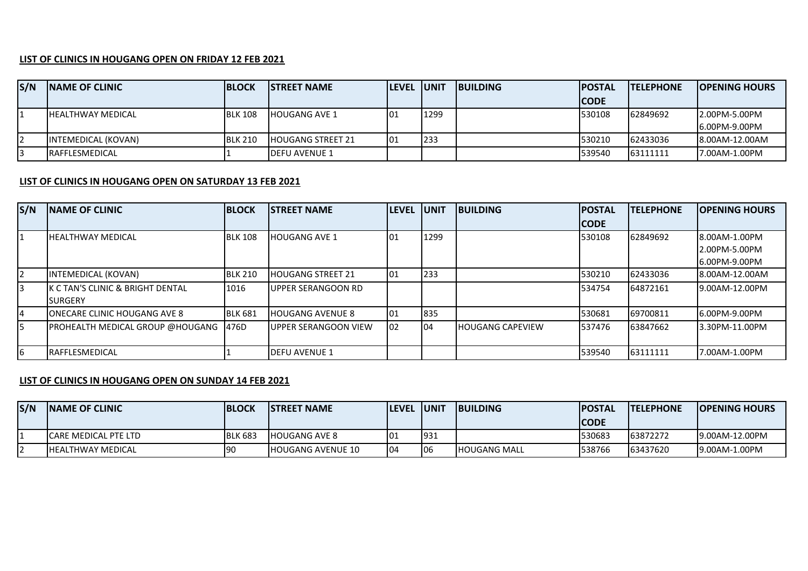## **LIST OF CLINICS IN HOUGANG OPEN ON FRIDAY 12 FEB 2021**

| S/N | <b>INAME OF CLINIC</b>    | <b>BLOCK</b>   | <b>ISTREET NAME</b>   | <b>LEVEL UNIT</b> |      | <b>IBUILDING</b> | <b>IPOSTAL</b> | <b>ITELEPHONE</b> | <b>IOPENING HOURS</b> |
|-----|---------------------------|----------------|-----------------------|-------------------|------|------------------|----------------|-------------------|-----------------------|
|     |                           |                |                       |                   |      |                  | <b>ICODE</b>   |                   |                       |
|     | <b>IHEALTHWAY MEDICAL</b> | <b>BLK 108</b> | IHOUGANG AVE 1        | 10 <sup>1</sup>   | 1299 |                  | 530108         | 62849692          | 12.00PM-5.00PM        |
|     |                           |                |                       |                   |      |                  |                |                   | <b>6.00PM-9.00PM</b>  |
|     | INTEMEDICAL (KOVAN)       | <b>BLK 210</b> | HOUGANG STREET 21     | 01                | 233  |                  | 530210         | 62433036          | 8.00AM-12.00AM        |
| 3   | <b>IRAFFLESMEDICAL</b>    |                | <b>IDEFU AVENUE 1</b> |                   |      |                  | 539540         | 63111111          | 7.00AM-1.00PM         |

## **LIST OF CLINICS IN HOUGANG OPEN ON SATURDAY 13 FEB 2021**

| S/N            | <b>INAME OF CLINIC</b>                         | <b>BLOCK</b>   | <b>ISTREET NAME</b>          | <b>LEVEL</b> | <b>IUNIT</b> | <b>IBUILDING</b>        | <b>POSTAL</b> | <b>TELEPHONE</b> | <b>OPENING HOURS</b> |
|----------------|------------------------------------------------|----------------|------------------------------|--------------|--------------|-------------------------|---------------|------------------|----------------------|
|                |                                                |                |                              |              |              |                         | <b>ICODE</b>  |                  |                      |
| $\mathbf{1}$   | <b>IHEALTHWAY MEDICAL</b>                      | <b>BLK 108</b> | <b>HOUGANG AVE 1</b>         | 101          | 1299         |                         | 530108        | 62849692         | <b>8.00AM-1.00PM</b> |
|                |                                                |                |                              |              |              |                         |               |                  | L2.00PM-5.00PM       |
|                |                                                |                |                              |              |              |                         |               |                  | 16.00PM-9.00PM       |
| $\overline{2}$ | <b>INTEMEDICAL (KOVAN)</b>                     | <b>BLK 210</b> | HOUGANG STREET 21            | 101          | 233          |                         | 530210        | 62433036         | 8.00AM-12.00AM       |
| 3              | IK C TAN'S CLINIC & BRIGHT DENTAL              | 1016           | <b>LUPPER SERANGOON RD</b>   |              |              |                         | 534754        | 64872161         | 19.00AM-12.00PM      |
|                | <b>ISURGERY</b>                                |                |                              |              |              |                         |               |                  |                      |
| 14             | <b>IONECARE CLINIC HOUGANG AVE 8</b>           | <b>BLK 681</b> | <b>HOUGANG AVENUE 8</b>      | 01           | 835          |                         | 530681        | 69700811         | 16.00PM-9.00PM       |
| 5              | <b>IPROHEALTH MEDICAL GROUP @HOUGANG 1476D</b> |                | <b>IUPPER SERANGOON VIEW</b> | 102          | 104          | <b>HOUGANG CAPEVIEW</b> | 537476        | 63847662         | 13.30PM-11.00PM      |
|                |                                                |                |                              |              |              |                         |               |                  |                      |
| 6              | <b>IRAFFLESMEDICAL</b>                         |                | <b>IDEFU AVENUE 1</b>        |              |              |                         | 539540        | 63111111         | 7.00AM-1.00PM        |

## **LIST OF CLINICS IN HOUGANG OPEN ON SUNDAY 14 FEB 2021**

| S/N | <b>INAME OF CLINIC</b>    | <b>BLOCK</b>   | <b>ISTREET NAME</b>      | <b>ILEVEL IUNIT</b> |      | <b>IBUILDING</b>      | <b>IPOSTAL</b> | <b>ITELEPHONE</b> | <b>IOPENING HOURS</b> |
|-----|---------------------------|----------------|--------------------------|---------------------|------|-----------------------|----------------|-------------------|-----------------------|
|     |                           |                |                          |                     |      |                       | <b>CODE</b>    |                   |                       |
|     | ICARE MEDICAL PTE LTD     | <b>BLK 683</b> | <b>IHOUGANG AVE 8</b>    | 101                 | 1931 |                       | 530683         | 63872272          | 9.00AM-12.00PM        |
|     | <b>IHEALTHWAY MEDICAL</b> | <b>90</b>      | <b>HOUGANG AVENUE 10</b> | 104                 | 106  | <b>I</b> HOUGANG MALL | 538766         | 63437620          | 9.00AM-1.00PM         |